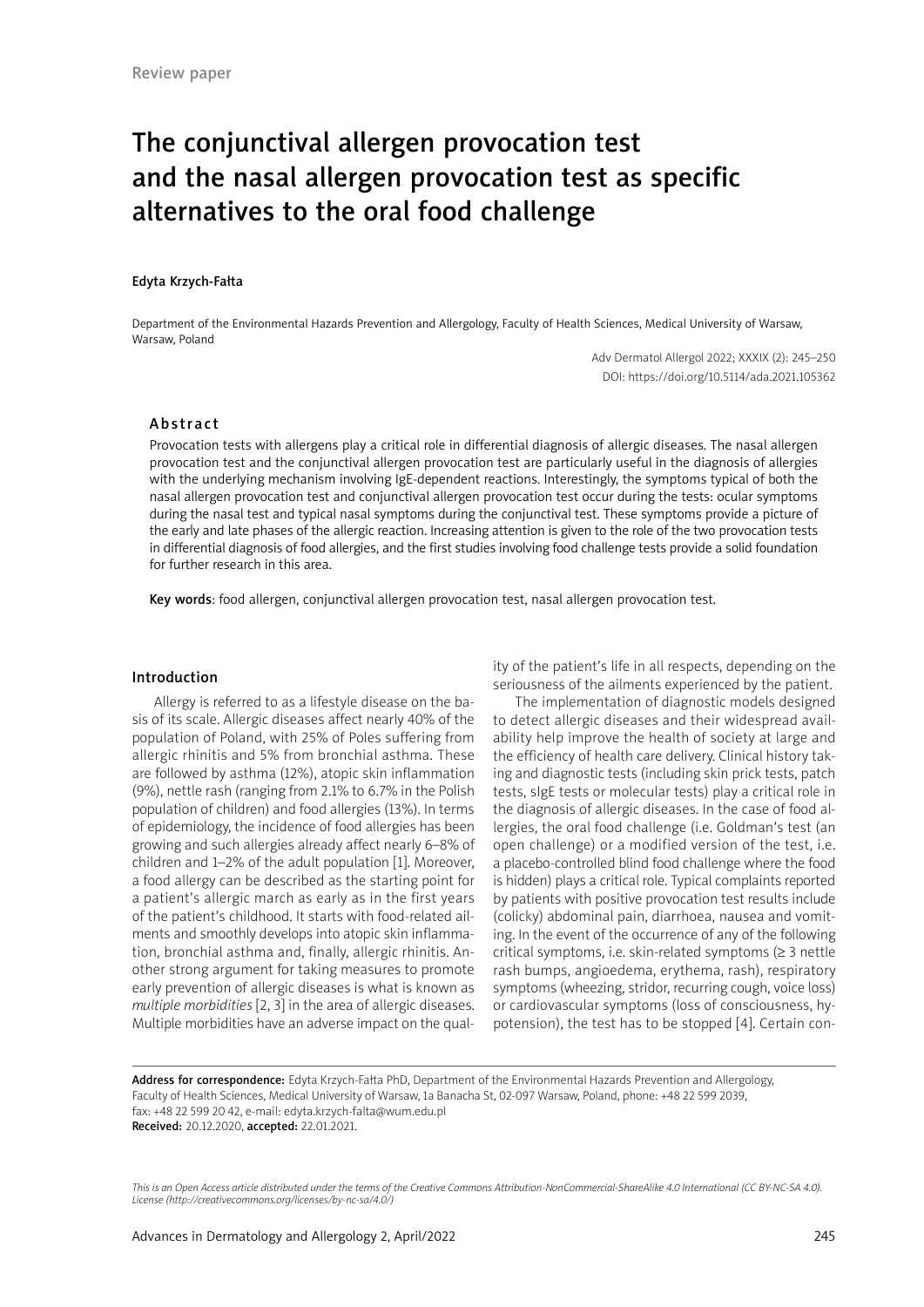# The conjunctival allergen provocation test and the nasal allergen provocation test as specific alternatives to the oral food challenge

#### Edyta Krzych-Fałta

Department of the Environmental Hazards Prevention and Allergology, Faculty of Health Sciences, Medical University of Warsaw, Warsaw, Poland

> Adv Dermatol Allergol 2022; XXXIX (2): 245–250 DOI: https://doi.org/10.5114/ada.2021.105362

### Abstract

Provocation tests with allergens play a critical role in differential diagnosis of allergic diseases. The nasal allergen provocation test and the conjunctival allergen provocation test are particularly useful in the diagnosis of allergies with the underlying mechanism involving IgE-dependent reactions. Interestingly, the symptoms typical of both the nasal allergen provocation test and conjunctival allergen provocation test occur during the tests: ocular symptoms during the nasal test and typical nasal symptoms during the conjunctival test. These symptoms provide a picture of the early and late phases of the allergic reaction. Increasing attention is given to the role of the two provocation tests in differential diagnosis of food allergies, and the first studies involving food challenge tests provide a solid foundation for further research in this area.

Key words: food allergen, conjunctival allergen provocation test, nasal allergen provocation test.

# Introduction

Allergy is referred to as a lifestyle disease on the basis of its scale. Allergic diseases affect nearly 40% of the population of Poland, with 25% of Poles suffering from allergic rhinitis and 5% from bronchial asthma. These are followed by asthma (12%), atopic skin inflammation (9%), nettle rash (ranging from 2.1% to 6.7% in the Polish population of children) and food allergies (13%). In terms of epidemiology, the incidence of food allergies has been growing and such allergies already affect nearly 6–8% of children and 1–2% of the adult population [1]. Moreover, a food allergy can be described as the starting point for a patient's allergic march as early as in the first years of the patient's childhood. It starts with food-related ailments and smoothly develops into atopic skin inflammation, bronchial asthma and, finally, allergic rhinitis. Another strong argument for taking measures to promote early prevention of allergic diseases is what is known as *multiple morbidities* [2, 3] in the area of allergic diseases. Multiple morbidities have an adverse impact on the quality of the patient's life in all respects, depending on the seriousness of the ailments experienced by the patient.

The implementation of diagnostic models designed to detect allergic diseases and their widespread availability help improve the health of society at large and the efficiency of health care delivery. Clinical history taking and diagnostic tests (including skin prick tests, patch tests, sIgE tests or molecular tests) play a critical role in the diagnosis of allergic diseases. In the case of food allergies, the oral food challenge (i.e. Goldman's test (an open challenge) or a modified version of the test, i.e. a placebo-controlled blind food challenge where the food is hidden) plays a critical role. Typical complaints reported by patients with positive provocation test results include (colicky) abdominal pain, diarrhoea, nausea and vomiting. In the event of the occurrence of any of the following critical symptoms, i.e. skin-related symptoms ( $\geq 3$  nettle rash bumps, angioedema, erythema, rash), respiratory symptoms (wheezing, stridor, recurring cough, voice loss) or cardiovascular symptoms (loss of consciousness, hypotension), the test has to be stopped [4]. Certain con-

Address for correspondence: Edyta Krzych-Fałta PhD, Department of the Environmental Hazards Prevention and Allergology, Faculty of Health Sciences, Medical University of Warsaw, 1a Banacha St, 02-097 Warsaw, Poland, phone: +48 22 599 2039, fax: +48 22 599 20 42, e-mail: edyta.krzych-falta@wum.edu.pl Received: 20.12.2020, accepted: 22.01.2021.

*This is an Open Access article distributed under the terms of the Creative Commons Attribution-NonCommercial-ShareAlike 4.0 International (CC BY-NC-SA 4.0). License (http://creativecommons.org/licenses/by-nc-sa/4.0/)*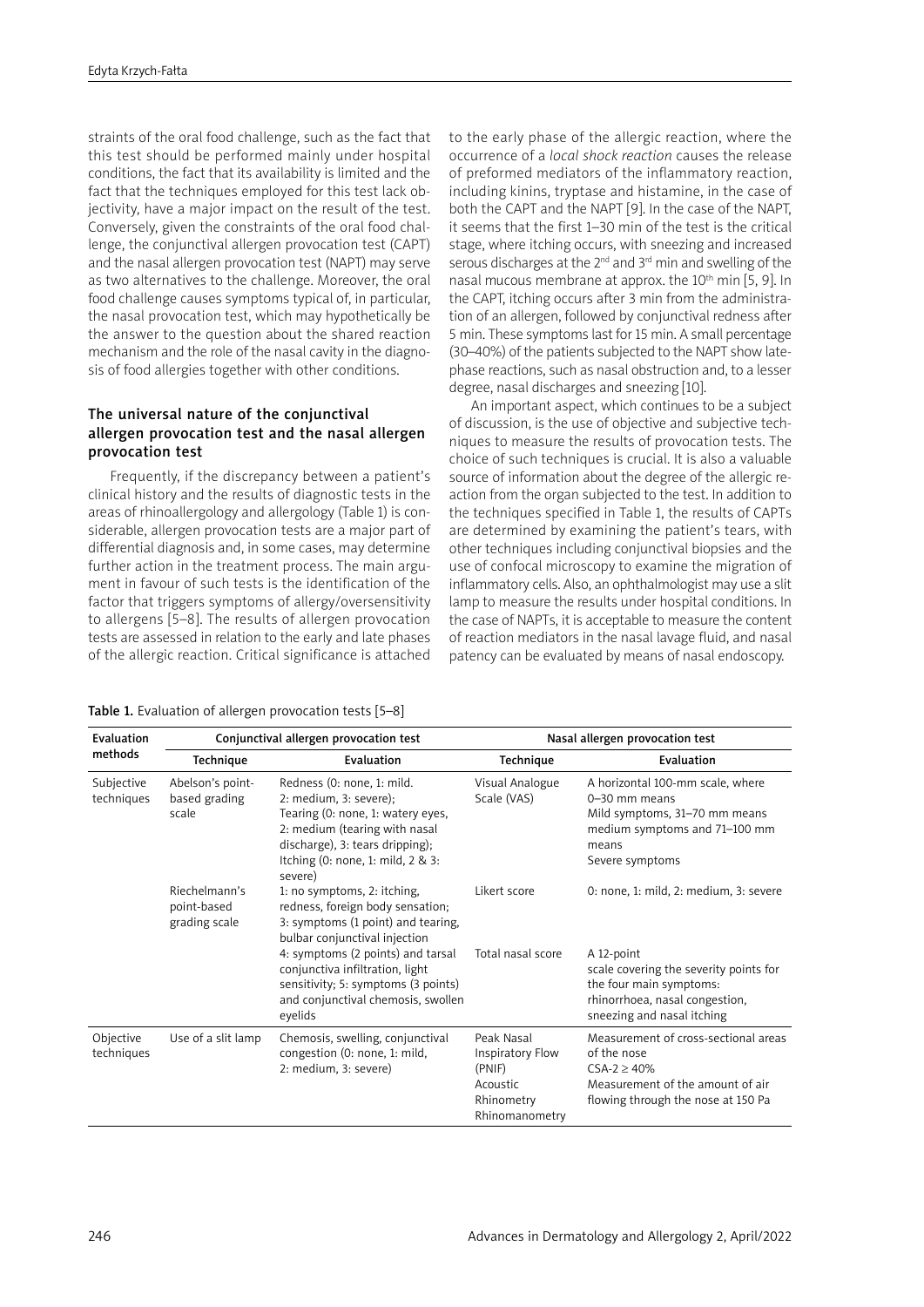straints of the oral food challenge, such as the fact that this test should be performed mainly under hospital conditions, the fact that its availability is limited and the fact that the techniques employed for this test lack objectivity, have a major impact on the result of the test. Conversely, given the constraints of the oral food challenge, the conjunctival allergen provocation test (CAPT) and the nasal allergen provocation test (NAPT) may serve as two alternatives to the challenge. Moreover, the oral food challenge causes symptoms typical of, in particular, the nasal provocation test, which may hypothetically be the answer to the question about the shared reaction mechanism and the role of the nasal cavity in the diagnosis of food allergies together with other conditions.

# The universal nature of the conjunctival allergen provocation test and the nasal allergen provocation test

Frequently, if the discrepancy between a patient's clinical history and the results of diagnostic tests in the areas of rhinoallergology and allergology (Table 1) is considerable, allergen provocation tests are a major part of differential diagnosis and, in some cases, may determine further action in the treatment process. The main argument in favour of such tests is the identification of the factor that triggers symptoms of allergy/oversensitivity to allergens [5–8]. The results of allergen provocation tests are assessed in relation to the early and late phases of the allergic reaction. Critical significance is attached

Table 1. Evaluation of allergen provocation tests [5–8]

to the early phase of the allergic reaction, where the occurrence of a *local shock reaction* causes the release of preformed mediators of the inflammatory reaction, including kinins, tryptase and histamine, in the case of both the CAPT and the NAPT [9]. In the case of the NAPT, it seems that the first 1–30 min of the test is the critical stage, where itching occurs, with sneezing and increased serous discharges at the  $2^{nd}$  and  $3^{rd}$  min and swelling of the nasal mucous membrane at approx. the  $10<sup>th</sup>$  min [5, 9]. In the CAPT, itching occurs after 3 min from the administration of an allergen, followed by conjunctival redness after 5 min. These symptoms last for 15 min. A small percentage (30–40%) of the patients subjected to the NAPT show latephase reactions, such as nasal obstruction and, to a lesser degree, nasal discharges and sneezing [10].

An important aspect, which continues to be a subject of discussion, is the use of objective and subjective techniques to measure the results of provocation tests. The choice of such techniques is crucial. It is also a valuable source of information about the degree of the allergic reaction from the organ subjected to the test. In addition to the techniques specified in Table 1, the results of CAPTs are determined by examining the patient's tears, with other techniques including conjunctival biopsies and the use of confocal microscopy to examine the migration of inflammatory cells. Also, an ophthalmologist may use a slit lamp to measure the results under hospital conditions. In the case of NAPTs, it is acceptable to measure the content of reaction mediators in the nasal lavage fluid, and nasal patency can be evaluated by means of nasal endoscopy.

| Evaluation<br>methods    | Conjunctival allergen provocation test        |                                                                                                                                                                                                                     | Nasal allergen provocation test                                                      |                                                                                                                                                 |
|--------------------------|-----------------------------------------------|---------------------------------------------------------------------------------------------------------------------------------------------------------------------------------------------------------------------|--------------------------------------------------------------------------------------|-------------------------------------------------------------------------------------------------------------------------------------------------|
|                          | Technique                                     | Evaluation                                                                                                                                                                                                          | Technique                                                                            | Evaluation                                                                                                                                      |
| Subjective<br>techniques | Abelson's point-<br>based grading<br>scale    | Redness (0: none, 1: mild.<br>2: medium, 3: severe);<br>Tearing (0: none, 1: watery eyes,<br>2: medium (tearing with nasal<br>discharge), 3: tears dripping);<br>Itching $(0:$ none, 1: mild, $2 \& 3$ :<br>severe) | Visual Analogue<br>Scale (VAS)                                                       | A horizontal 100-mm scale, where<br>0-30 mm means<br>Mild symptoms, 31-70 mm means<br>medium symptoms and 71-100 mm<br>means<br>Severe symptoms |
|                          | Riechelmann's<br>point-based<br>grading scale | 1: no symptoms, 2: itching,<br>redness, foreign body sensation;<br>3: symptoms (1 point) and tearing,<br>bulbar conjunctival injection                                                                              | Likert score                                                                         | 0: none, 1: mild, 2: medium, 3: severe                                                                                                          |
|                          |                                               | 4: symptoms (2 points) and tarsal<br>conjunctiva infiltration, light<br>sensitivity; 5: symptoms (3 points)<br>and conjunctival chemosis, swollen<br>eyelids                                                        | Total nasal score                                                                    | A 12-point<br>scale covering the severity points for<br>the four main symptoms:<br>rhinorrhoea, nasal congestion,<br>sneezing and nasal itching |
| Objective<br>techniques  | Use of a slit lamp                            | Chemosis, swelling, conjunctival<br>congestion (0: none, 1: mild,<br>2: medium, 3: severe)                                                                                                                          | Peak Nasal<br>Inspiratory Flow<br>(PNIF)<br>Acoustic<br>Rhinometry<br>Rhinomanometry | Measurement of cross-sectional areas<br>of the nose<br>$CSA-2 > 40%$<br>Measurement of the amount of air<br>flowing through the nose at 150 Pa  |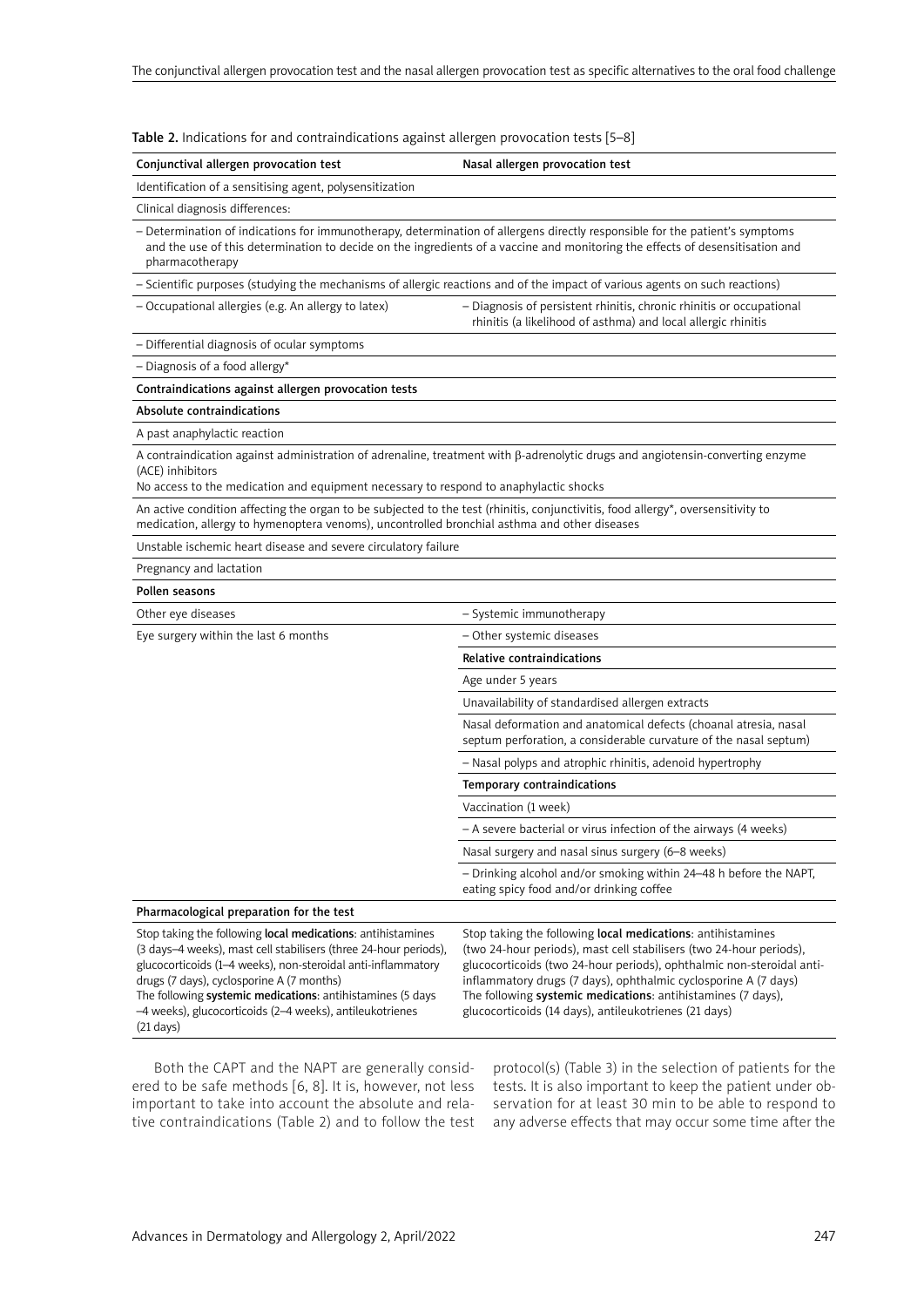| Conjunctival allergen provocation test                                                                                                                                                                                                                                                                                                                                                        | Nasal allergen provocation test                                                                                                                                                                                                                                                                                                                                                                         |  |  |  |
|-----------------------------------------------------------------------------------------------------------------------------------------------------------------------------------------------------------------------------------------------------------------------------------------------------------------------------------------------------------------------------------------------|---------------------------------------------------------------------------------------------------------------------------------------------------------------------------------------------------------------------------------------------------------------------------------------------------------------------------------------------------------------------------------------------------------|--|--|--|
| Identification of a sensitising agent, polysensitization                                                                                                                                                                                                                                                                                                                                      |                                                                                                                                                                                                                                                                                                                                                                                                         |  |  |  |
| Clinical diagnosis differences:                                                                                                                                                                                                                                                                                                                                                               |                                                                                                                                                                                                                                                                                                                                                                                                         |  |  |  |
| - Determination of indications for immunotherapy, determination of allergens directly responsible for the patient's symptoms<br>and the use of this determination to decide on the ingredients of a vaccine and monitoring the effects of desensitisation and<br>pharmacotherapy                                                                                                              |                                                                                                                                                                                                                                                                                                                                                                                                         |  |  |  |
| - Scientific purposes (studying the mechanisms of allergic reactions and of the impact of various agents on such reactions)                                                                                                                                                                                                                                                                   |                                                                                                                                                                                                                                                                                                                                                                                                         |  |  |  |
| - Occupational allergies (e.g. An allergy to latex)                                                                                                                                                                                                                                                                                                                                           | - Diagnosis of persistent rhinitis, chronic rhinitis or occupational<br>rhinitis (a likelihood of asthma) and local allergic rhinitis                                                                                                                                                                                                                                                                   |  |  |  |
| - Differential diagnosis of ocular symptoms                                                                                                                                                                                                                                                                                                                                                   |                                                                                                                                                                                                                                                                                                                                                                                                         |  |  |  |
| $-$ Diagnosis of a food allergy*                                                                                                                                                                                                                                                                                                                                                              |                                                                                                                                                                                                                                                                                                                                                                                                         |  |  |  |
| Contraindications against allergen provocation tests                                                                                                                                                                                                                                                                                                                                          |                                                                                                                                                                                                                                                                                                                                                                                                         |  |  |  |
| Absolute contraindications                                                                                                                                                                                                                                                                                                                                                                    |                                                                                                                                                                                                                                                                                                                                                                                                         |  |  |  |
| A past anaphylactic reaction                                                                                                                                                                                                                                                                                                                                                                  |                                                                                                                                                                                                                                                                                                                                                                                                         |  |  |  |
| A contraindication against administration of adrenaline, treatment with $\beta$ -adrenolytic drugs and angiotensin-converting enzyme<br>(ACE) inhibitors<br>No access to the medication and equipment necessary to respond to anaphylactic shocks                                                                                                                                             |                                                                                                                                                                                                                                                                                                                                                                                                         |  |  |  |
| An active condition affecting the organ to be subjected to the test (rhinitis, conjunctivitis, food allergy*, oversensitivity to<br>medication, allergy to hymenoptera venoms), uncontrolled bronchial asthma and other diseases                                                                                                                                                              |                                                                                                                                                                                                                                                                                                                                                                                                         |  |  |  |
| Unstable ischemic heart disease and severe circulatory failure                                                                                                                                                                                                                                                                                                                                |                                                                                                                                                                                                                                                                                                                                                                                                         |  |  |  |
| Pregnancy and lactation                                                                                                                                                                                                                                                                                                                                                                       |                                                                                                                                                                                                                                                                                                                                                                                                         |  |  |  |
| Pollen seasons                                                                                                                                                                                                                                                                                                                                                                                |                                                                                                                                                                                                                                                                                                                                                                                                         |  |  |  |
| Other eye diseases                                                                                                                                                                                                                                                                                                                                                                            | - Systemic immunotherapy                                                                                                                                                                                                                                                                                                                                                                                |  |  |  |
| Eye surgery within the last 6 months                                                                                                                                                                                                                                                                                                                                                          | - Other systemic diseases                                                                                                                                                                                                                                                                                                                                                                               |  |  |  |
|                                                                                                                                                                                                                                                                                                                                                                                               | Relative contraindications                                                                                                                                                                                                                                                                                                                                                                              |  |  |  |
|                                                                                                                                                                                                                                                                                                                                                                                               | Age under 5 years                                                                                                                                                                                                                                                                                                                                                                                       |  |  |  |
|                                                                                                                                                                                                                                                                                                                                                                                               | Unavailability of standardised allergen extracts                                                                                                                                                                                                                                                                                                                                                        |  |  |  |
|                                                                                                                                                                                                                                                                                                                                                                                               | Nasal deformation and anatomical defects (choanal atresia, nasal<br>septum perforation, a considerable curvature of the nasal septum)                                                                                                                                                                                                                                                                   |  |  |  |
|                                                                                                                                                                                                                                                                                                                                                                                               | - Nasal polyps and atrophic rhinitis, adenoid hypertrophy                                                                                                                                                                                                                                                                                                                                               |  |  |  |
|                                                                                                                                                                                                                                                                                                                                                                                               | Temporary contraindications                                                                                                                                                                                                                                                                                                                                                                             |  |  |  |
|                                                                                                                                                                                                                                                                                                                                                                                               | Vaccination (1 week)                                                                                                                                                                                                                                                                                                                                                                                    |  |  |  |
|                                                                                                                                                                                                                                                                                                                                                                                               | - A severe bacterial or virus infection of the airways (4 weeks)                                                                                                                                                                                                                                                                                                                                        |  |  |  |
|                                                                                                                                                                                                                                                                                                                                                                                               | Nasal surgery and nasal sinus surgery (6-8 weeks)                                                                                                                                                                                                                                                                                                                                                       |  |  |  |
|                                                                                                                                                                                                                                                                                                                                                                                               | - Drinking alcohol and/or smoking within 24-48 h before the NAPT,<br>eating spicy food and/or drinking coffee                                                                                                                                                                                                                                                                                           |  |  |  |
| Pharmacological preparation for the test                                                                                                                                                                                                                                                                                                                                                      |                                                                                                                                                                                                                                                                                                                                                                                                         |  |  |  |
| Stop taking the following local medications: antihistamines<br>(3 days-4 weeks), mast cell stabilisers (three 24-hour periods),<br>glucocorticoids (1-4 weeks), non-steroidal anti-inflammatory<br>drugs (7 days), cyclosporine A (7 months)<br>The following systemic medications: antihistamines (5 days<br>-4 weeks), glucocorticoids (2-4 weeks), antileukotrienes<br>$(21 \text{ days})$ | Stop taking the following local medications: antihistamines<br>(two 24-hour periods), mast cell stabilisers (two 24-hour periods),<br>glucocorticoids (two 24-hour periods), ophthalmic non-steroidal anti-<br>inflammatory drugs (7 days), ophthalmic cyclosporine A (7 days)<br>The following systemic medications: antihistamines (7 days),<br>glucocorticoids (14 days), antileukotrienes (21 days) |  |  |  |

Table 2. Indications for and contraindications against allergen provocation tests [5–8]

Both the CAPT and the NAPT are generally considered to be safe methods [6, 8]. It is, however, not less important to take into account the absolute and relative contraindications (Table 2) and to follow the test

protocol(s) (Table 3) in the selection of patients for the tests. It is also important to keep the patient under observation for at least 30 min to be able to respond to any adverse effects that may occur some time after the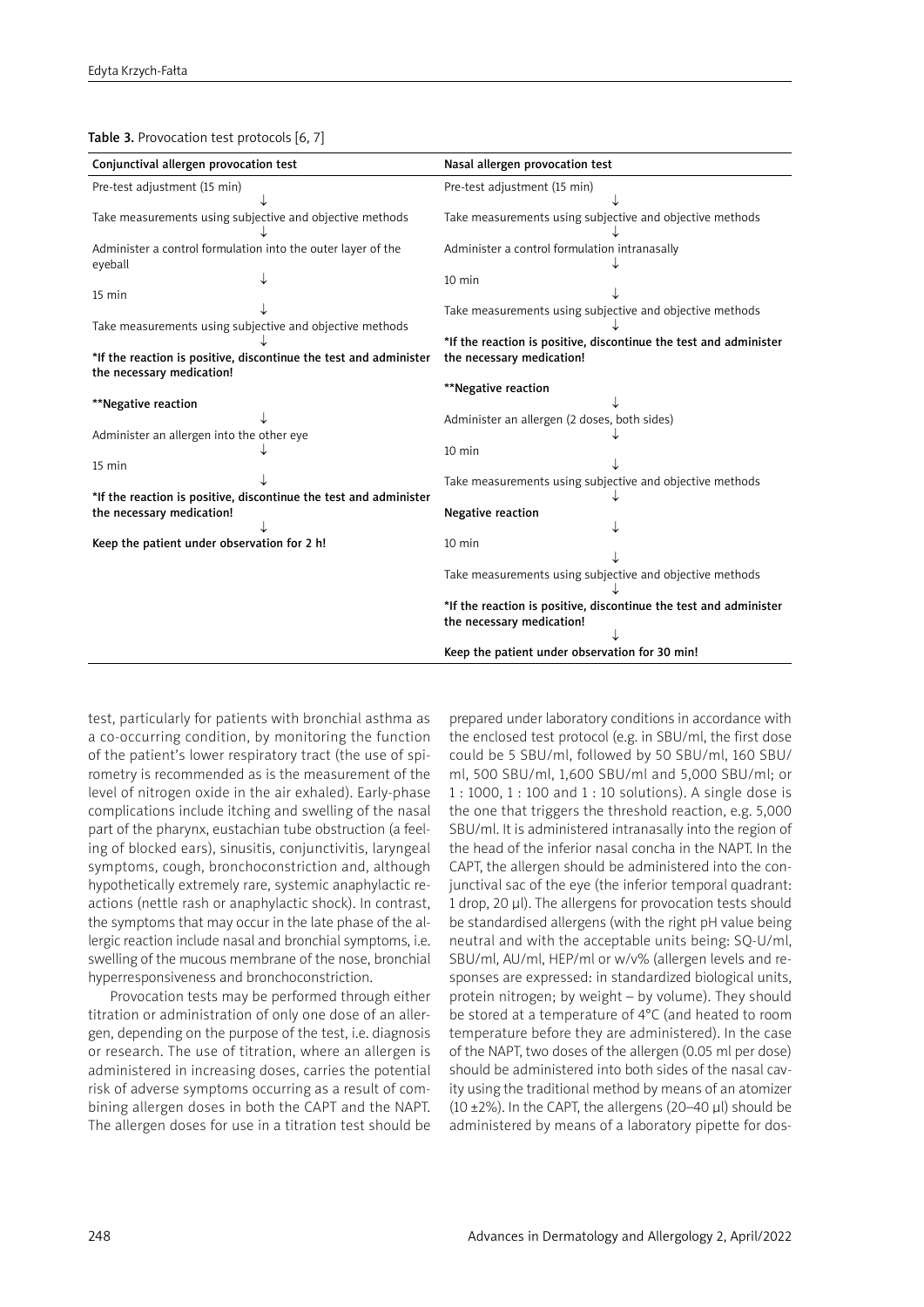Table 3. Provocation test protocols [6, 7]

| Conjunctival allergen provocation test                            | Nasal allergen provocation test                                   |  |
|-------------------------------------------------------------------|-------------------------------------------------------------------|--|
| Pre-test adjustment (15 min)                                      | Pre-test adjustment (15 min)                                      |  |
|                                                                   |                                                                   |  |
| Take measurements using subjective and objective methods          | Take measurements using subjective and objective methods          |  |
|                                                                   |                                                                   |  |
| Administer a control formulation into the outer layer of the      | Administer a control formulation intranasally                     |  |
| eyeball                                                           |                                                                   |  |
|                                                                   | $10 \text{ min}$                                                  |  |
| 15 min                                                            |                                                                   |  |
|                                                                   | Take measurements using subjective and objective methods          |  |
| Take measurements using subjective and objective methods          |                                                                   |  |
|                                                                   | *If the reaction is positive, discontinue the test and administer |  |
| *If the reaction is positive, discontinue the test and administer | the necessary medication!                                         |  |
| the necessary medication!                                         |                                                                   |  |
|                                                                   | **Negative reaction                                               |  |
| **Negative reaction                                               |                                                                   |  |
|                                                                   | Administer an allergen (2 doses, both sides)                      |  |
| Administer an allergen into the other eye                         |                                                                   |  |
|                                                                   | 10 min                                                            |  |
| 15 min                                                            |                                                                   |  |
|                                                                   | Take measurements using subjective and objective methods          |  |
| *If the reaction is positive, discontinue the test and administer |                                                                   |  |
| the necessary medication!                                         | <b>Negative reaction</b>                                          |  |
|                                                                   |                                                                   |  |
| Keep the patient under observation for 2 h!                       | $10 \text{ min}$                                                  |  |
|                                                                   |                                                                   |  |
|                                                                   | Take measurements using subjective and objective methods          |  |
|                                                                   |                                                                   |  |
|                                                                   | *If the reaction is positive, discontinue the test and administer |  |
|                                                                   | the necessary medication!                                         |  |
|                                                                   |                                                                   |  |
|                                                                   | Keep the patient under observation for 30 min!                    |  |

test, particularly for patients with bronchial asthma as a co-occurring condition, by monitoring the function of the patient's lower respiratory tract (the use of spirometry is recommended as is the measurement of the level of nitrogen oxide in the air exhaled). Early-phase complications include itching and swelling of the nasal part of the pharynx, eustachian tube obstruction (a feeling of blocked ears), sinusitis, conjunctivitis, laryngeal symptoms, cough, bronchoconstriction and, although hypothetically extremely rare, systemic anaphylactic reactions (nettle rash or anaphylactic shock). In contrast, the symptoms that may occur in the late phase of the allergic reaction include nasal and bronchial symptoms, i.e. swelling of the mucous membrane of the nose, bronchial hyperresponsiveness and bronchoconstriction.

Provocation tests may be performed through either titration or administration of only one dose of an allergen, depending on the purpose of the test, i.e. diagnosis or research. The use of titration, where an allergen is administered in increasing doses, carries the potential risk of adverse symptoms occurring as a result of combining allergen doses in both the CAPT and the NAPT. The allergen doses for use in a titration test should be prepared under laboratory conditions in accordance with the enclosed test protocol (e.g. in SBU/ml, the first dose could be 5 SBU/ml, followed by 50 SBU/ml, 160 SBU/ ml, 500 SBU/ml, 1,600 SBU/ml and 5,000 SBU/ml; or 1 : 1000, 1 : 100 and 1 : 10 solutions). A single dose is the one that triggers the threshold reaction, e.g. 5,000 SBU/ml. It is administered intranasally into the region of the head of the inferior nasal concha in the NAPT. In the CAPT, the allergen should be administered into the conjunctival sac of the eye (the inferior temporal quadrant: 1 drop, 20 μl). The allergens for provocation tests should be standardised allergens (with the right pH value being neutral and with the acceptable units being: SQ-U/ml, SBU/ml, AU/ml, HEP/ml or w/v% (allergen levels and responses are expressed: in standardized biological units, protein nitrogen; by weight – by volume). They should be stored at a temperature of 4°C (and heated to room temperature before they are administered). In the case of the NAPT, two doses of the allergen (0.05 ml per dose) should be administered into both sides of the nasal cavity using the traditional method by means of an atomizer (10  $\pm$ 2%). In the CAPT, the allergens (20–40 μl) should be administered by means of a laboratory pipette for dos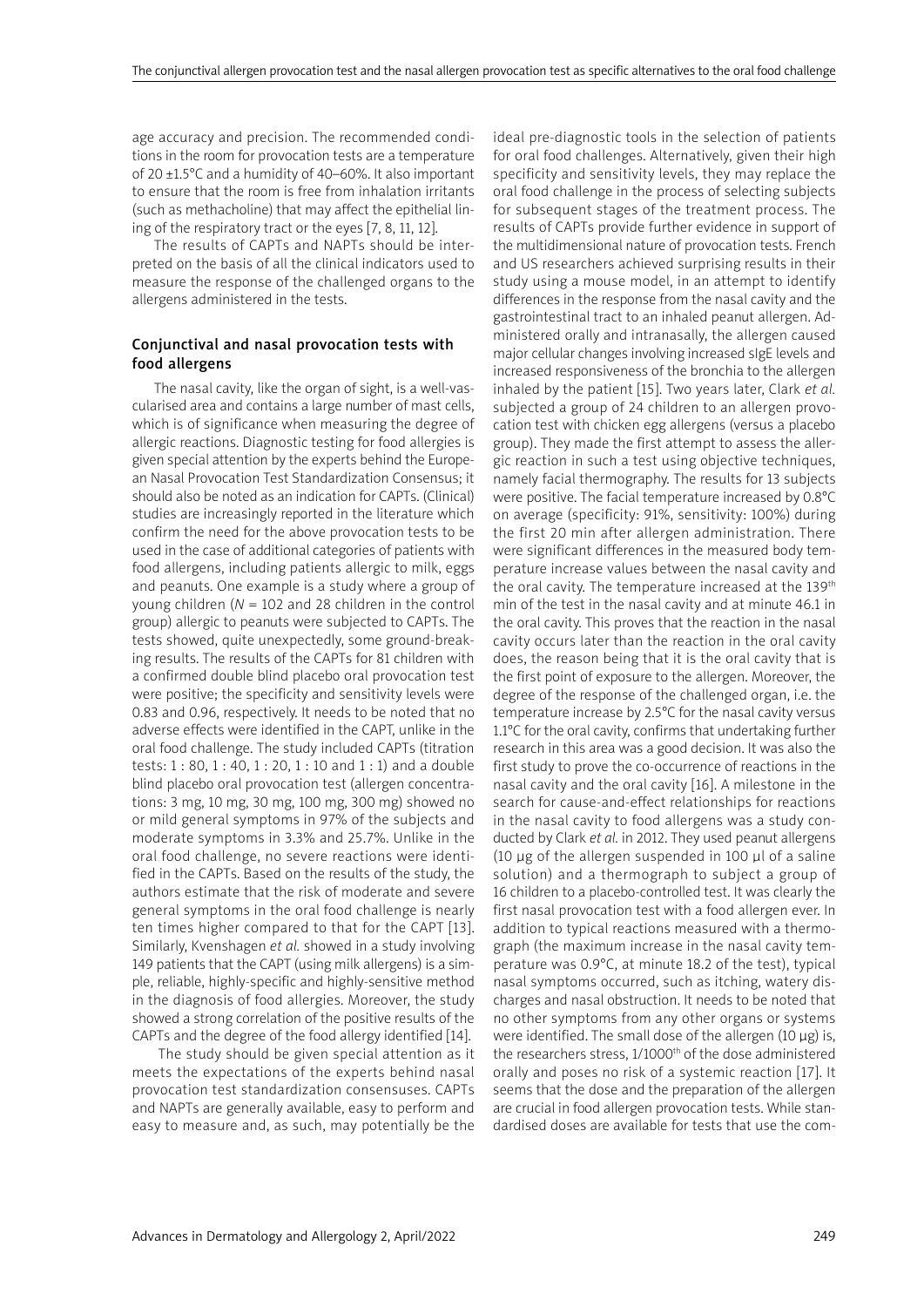age accuracy and precision. The recommended conditions in the room for provocation tests are a temperature of 20 ±1.5°C and a humidity of 40–60%. It also important to ensure that the room is free from inhalation irritants (such as methacholine) that may affect the epithelial lining of the respiratory tract or the eyes [7, 8, 11, 12].

The results of CAPTs and NAPTs should be interpreted on the basis of all the clinical indicators used to measure the response of the challenged organs to the allergens administered in the tests.

# Conjunctival and nasal provocation tests with food allergens

The nasal cavity, like the organ of sight, is a well-vascularised area and contains a large number of mast cells, which is of significance when measuring the degree of allergic reactions. Diagnostic testing for food allergies is given special attention by the experts behind the European Nasal Provocation Test Standardization Consensus; it should also be noted as an indication for CAPTs. (Clinical) studies are increasingly reported in the literature which confirm the need for the above provocation tests to be used in the case of additional categories of patients with food allergens, including patients allergic to milk, eggs and peanuts. One example is a study where a group of young children (*N* = 102 and 28 children in the control group) allergic to peanuts were subjected to CAPTs. The tests showed, quite unexpectedly, some ground-breaking results. The results of the CAPTs for 81 children with a confirmed double blind placebo oral provocation test were positive; the specificity and sensitivity levels were 0.83 and 0.96, respectively. It needs to be noted that no adverse effects were identified in the CAPT, unlike in the oral food challenge. The study included CAPTs (titration tests: 1 : 80, 1 : 40, 1 : 20, 1 : 10 and 1 : 1) and a double blind placebo oral provocation test (allergen concentrations: 3 mg, 10 mg, 30 mg, 100 mg, 300 mg) showed no or mild general symptoms in 97% of the subjects and moderate symptoms in 3.3% and 25.7%. Unlike in the oral food challenge, no severe reactions were identified in the CAPTs. Based on the results of the study, the authors estimate that the risk of moderate and severe general symptoms in the oral food challenge is nearly ten times higher compared to that for the CAPT [13]. Similarly, Kvenshagen *et al.* showed in a study involving 149 patients that the CAPT (using milk allergens) is a simple, reliable, highly-specific and highly-sensitive method in the diagnosis of food allergies. Moreover, the study showed a strong correlation of the positive results of the CAPTs and the degree of the food allergy identified [14].

 The study should be given special attention as it meets the expectations of the experts behind nasal provocation test standardization consensuses. CAPTs and NAPTs are generally available, easy to perform and easy to measure and, as such, may potentially be the ideal pre-diagnostic tools in the selection of patients for oral food challenges. Alternatively, given their high specificity and sensitivity levels, they may replace the oral food challenge in the process of selecting subjects for subsequent stages of the treatment process. The results of CAPTs provide further evidence in support of the multidimensional nature of provocation tests. French and US researchers achieved surprising results in their study using a mouse model, in an attempt to identify differences in the response from the nasal cavity and the gastrointestinal tract to an inhaled peanut allergen. Administered orally and intranasally, the allergen caused major cellular changes involving increased sIgE levels and increased responsiveness of the bronchia to the allergen inhaled by the patient [15]. Two years later, Clark *et al.*  subjected a group of 24 children to an allergen provocation test with chicken egg allergens (versus a placebo group). They made the first attempt to assess the allergic reaction in such a test using objective techniques, namely facial thermography. The results for 13 subjects were positive. The facial temperature increased by 0.8°C on average (specificity: 91%, sensitivity: 100%) during the first 20 min after allergen administration. There were significant differences in the measured body temperature increase values between the nasal cavity and the oral cavity. The temperature increased at the 139th min of the test in the nasal cavity and at minute 46.1 in the oral cavity. This proves that the reaction in the nasal cavity occurs later than the reaction in the oral cavity does, the reason being that it is the oral cavity that is the first point of exposure to the allergen. Moreover, the degree of the response of the challenged organ, i.e. the temperature increase by 2.5°C for the nasal cavity versus 1.1°C for the oral cavity, confirms that undertaking further research in this area was a good decision. It was also the first study to prove the co-occurrence of reactions in the nasal cavity and the oral cavity [16]. A milestone in the search for cause-and-effect relationships for reactions in the nasal cavity to food allergens was a study conducted by Clark *et al.* in 2012. They used peanut allergens (10 μg of the allergen suspended in 100 μl of a saline solution) and a thermograph to subject a group of 16 children to a placebo-controlled test. It was clearly the first nasal provocation test with a food allergen ever. In addition to typical reactions measured with a thermograph (the maximum increase in the nasal cavity temperature was 0.9°C, at minute 18.2 of the test), typical nasal symptoms occurred, such as itching, watery discharges and nasal obstruction. It needs to be noted that no other symptoms from any other organs or systems were identified. The small dose of the allergen (10 μg) is, the researchers stress, 1/1000<sup>th</sup> of the dose administered orally and poses no risk of a systemic reaction [17]. It seems that the dose and the preparation of the allergen are crucial in food allergen provocation tests. While standardised doses are available for tests that use the com-